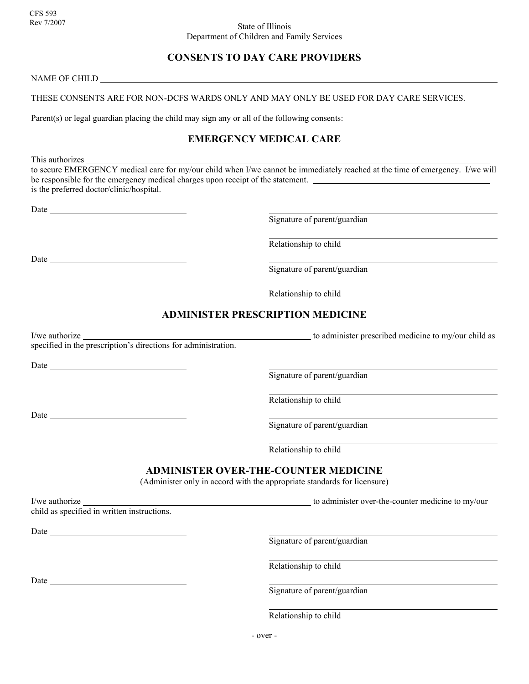# **CONSENTS TO DAY CARE PROVIDERS**

NAME OF CHILD

#### THESE CONSENTS ARE FOR NON-DCFS WARDS ONLY AND MAY ONLY BE USED FOR DAY CARE SERVICES.

Parent(s) or legal guardian placing the child may sign any or all of the following consents:

### **EMERGENCY MEDICAL CARE**

This authorizes

to secure EMERGENCY medical care for my/our child when I/we cannot be immediately reached at the time of emergency. I/we will be responsible for the emergency medical charges upon receipt of the statement. is the preferred doctor/clinic/hospital.

Date and the state of the state of the state of the state of the state of the state of the state of the state of the state of the state of the state of the state of the state of the state of the state of the state of the s

Signature of parent/guardian

Relationship to child

Signature of parent/guardian

Relationship to child

## **ADMINISTER PRESCRIPTION MEDICINE**

specified in the prescription's directions for administration.

Date has been assessed by the second service of the service of the service of the service of the service of the service of the service of the service of the service of the service of the service of the service of the servi

Date and the state of the state of the state of the state of the state of the state of the state of the state of the state of the state of the state of the state of the state of the state of the state of the state of the s

Date

I/we authorize  $\frac{1}{2}$  to administer prescribed medicine to my/our child as

Signature of parent/guardian

Relationship to child

Signature of parent/guardian

Relationship to child

### **ADMINISTER OVER-THE-COUNTER MEDICINE**

(Administer only in accord with the appropriate standards for licensure)

I/we authorize to administer over-the-counter medicine to my/our

child as specified in written instructions.

Date

Signature of parent/guardian

Relationship to child

Date and the state of the state of the state of the state of the state of the state of the state of the state of the state of the state of the state of the state of the state of the state of the state of the state of the s

Signature of parent/guardian

Relationship to child